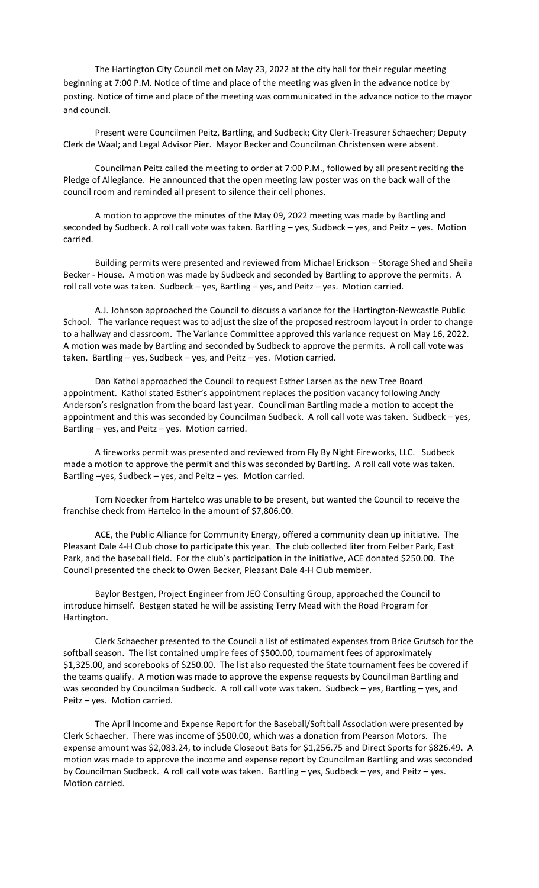The Hartington City Council met on May 23, 2022 at the city hall for their regular meeting beginning at 7:00 P.M. Notice of time and place of the meeting was given in the advance notice by posting. Notice of time and place of the meeting was communicated in the advance notice to the mayor and council.

Present were Councilmen Peitz, Bartling, and Sudbeck; City Clerk‐Treasurer Schaecher; Deputy Clerk de Waal; and Legal Advisor Pier. Mayor Becker and Councilman Christensen were absent.

Councilman Peitz called the meeting to order at 7:00 P.M., followed by all present reciting the Pledge of Allegiance. He announced that the open meeting law poster was on the back wall of the council room and reminded all present to silence their cell phones.

A motion to approve the minutes of the May 09, 2022 meeting was made by Bartling and seconded by Sudbeck. A roll call vote was taken. Bartling – yes, Sudbeck – yes, and Peitz – yes. Motion carried.

Building permits were presented and reviewed from Michael Erickson – Storage Shed and Sheila Becker - House. A motion was made by Sudbeck and seconded by Bartling to approve the permits. A roll call vote was taken. Sudbeck – yes, Bartling – yes, and Peitz – yes. Motion carried.

A.J. Johnson approached the Council to discuss a variance for the Hartington‐Newcastle Public School. The variance request was to adjust the size of the proposed restroom layout in order to change to a hallway and classroom. The Variance Committee approved this variance request on May 16, 2022. A motion was made by Bartling and seconded by Sudbeck to approve the permits. A roll call vote was taken. Bartling – yes, Sudbeck – yes, and Peitz – yes. Motion carried.

Dan Kathol approached the Council to request Esther Larsen as the new Tree Board appointment. Kathol stated Esther's appointment replaces the position vacancy following Andy Anderson's resignation from the board last year. Councilman Bartling made a motion to accept the appointment and this was seconded by Councilman Sudbeck. A roll call vote was taken. Sudbeck – yes, Bartling – yes, and Peitz – yes. Motion carried.

A fireworks permit was presented and reviewed from Fly By Night Fireworks, LLC. Sudbeck made a motion to approve the permit and this was seconded by Bartling. A roll call vote was taken. Bartling –yes, Sudbeck – yes, and Peitz – yes. Motion carried.

Tom Noecker from Hartelco was unable to be present, but wanted the Council to receive the franchise check from Hartelco in the amount of \$7,806.00.

ACE, the Public Alliance for Community Energy, offered a community clean up initiative. The Pleasant Dale 4‐H Club chose to participate this year. The club collected liter from Felber Park, East Park, and the baseball field. For the club's participation in the initiative, ACE donated \$250.00. The Council presented the check to Owen Becker, Pleasant Dale 4‐H Club member.

Baylor Bestgen, Project Engineer from JEO Consulting Group, approached the Council to introduce himself. Bestgen stated he will be assisting Terry Mead with the Road Program for Hartington.

Clerk Schaecher presented to the Council a list of estimated expenses from Brice Grutsch for the softball season. The list contained umpire fees of \$500.00, tournament fees of approximately \$1,325.00, and scorebooks of \$250.00. The list also requested the State tournament fees be covered if the teams qualify. A motion was made to approve the expense requests by Councilman Bartling and was seconded by Councilman Sudbeck. A roll call vote was taken. Sudbeck - yes, Bartling - yes, and Peitz – yes. Motion carried.

The April Income and Expense Report for the Baseball/Softball Association were presented by Clerk Schaecher. There was income of \$500.00, which was a donation from Pearson Motors. The expense amount was \$2,083.24, to include Closeout Bats for \$1,256.75 and Direct Sports for \$826.49. A motion was made to approve the income and expense report by Councilman Bartling and was seconded by Councilman Sudbeck. A roll call vote was taken. Bartling – yes, Sudbeck – yes, and Peitz – yes. Motion carried.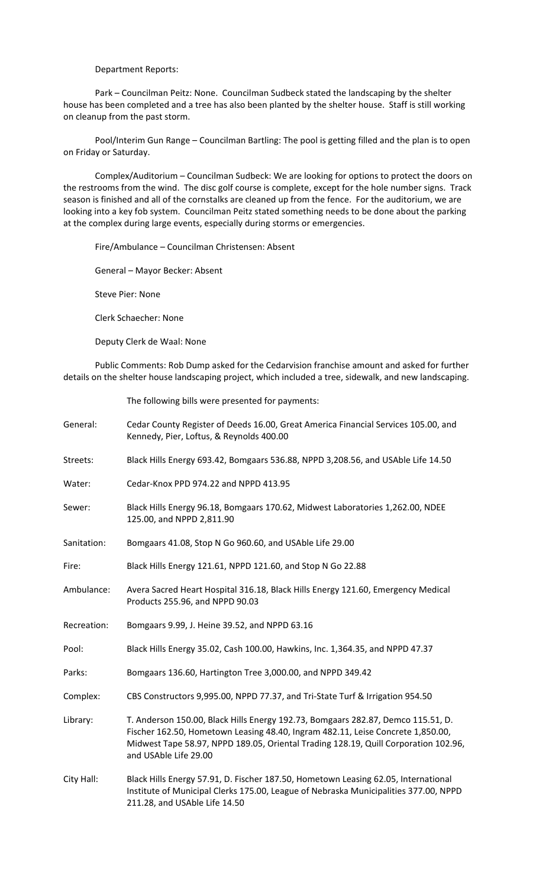## Department Reports:

Park – Councilman Peitz: None. Councilman Sudbeck stated the landscaping by the shelter house has been completed and a tree has also been planted by the shelter house. Staff is still working on cleanup from the past storm.

Pool/Interim Gun Range – Councilman Bartling: The pool is getting filled and the plan is to open on Friday or Saturday.

Complex/Auditorium – Councilman Sudbeck: We are looking for options to protect the doors on the restrooms from the wind. The disc golf course is complete, except for the hole number signs. Track season is finished and all of the cornstalks are cleaned up from the fence. For the auditorium, we are looking into a key fob system. Councilman Peitz stated something needs to be done about the parking at the complex during large events, especially during storms or emergencies.

Fire/Ambulance – Councilman Christensen: Absent

General – Mayor Becker: Absent

Steve Pier: None

Clerk Schaecher: None

Deputy Clerk de Waal: None

Public Comments: Rob Dump asked for the Cedarvision franchise amount and asked for further details on the shelter house landscaping project, which included a tree, sidewalk, and new landscaping.

The following bills were presented for payments:

| General:    | Cedar County Register of Deeds 16.00, Great America Financial Services 105.00, and<br>Kennedy, Pier, Loftus, & Reynolds 400.00                                                                                                                                                      |
|-------------|-------------------------------------------------------------------------------------------------------------------------------------------------------------------------------------------------------------------------------------------------------------------------------------|
| Streets:    | Black Hills Energy 693.42, Bomgaars 536.88, NPPD 3,208.56, and USAble Life 14.50                                                                                                                                                                                                    |
| Water:      | Cedar-Knox PPD 974.22 and NPPD 413.95                                                                                                                                                                                                                                               |
| Sewer:      | Black Hills Energy 96.18, Bomgaars 170.62, Midwest Laboratories 1,262.00, NDEE<br>125.00, and NPPD 2,811.90                                                                                                                                                                         |
| Sanitation: | Bomgaars 41.08, Stop N Go 960.60, and USAble Life 29.00                                                                                                                                                                                                                             |
| Fire:       | Black Hills Energy 121.61, NPPD 121.60, and Stop N Go 22.88                                                                                                                                                                                                                         |
| Ambulance:  | Avera Sacred Heart Hospital 316.18, Black Hills Energy 121.60, Emergency Medical<br>Products 255.96, and NPPD 90.03                                                                                                                                                                 |
| Recreation: | Bomgaars 9.99, J. Heine 39.52, and NPPD 63.16                                                                                                                                                                                                                                       |
| Pool:       | Black Hills Energy 35.02, Cash 100.00, Hawkins, Inc. 1,364.35, and NPPD 47.37                                                                                                                                                                                                       |
| Parks:      | Bomgaars 136.60, Hartington Tree 3,000.00, and NPPD 349.42                                                                                                                                                                                                                          |
| Complex:    | CBS Constructors 9,995.00, NPPD 77.37, and Tri-State Turf & Irrigation 954.50                                                                                                                                                                                                       |
| Library:    | T. Anderson 150.00, Black Hills Energy 192.73, Bomgaars 282.87, Demco 115.51, D.<br>Fischer 162.50, Hometown Leasing 48.40, Ingram 482.11, Leise Concrete 1,850.00,<br>Midwest Tape 58.97, NPPD 189.05, Oriental Trading 128.19, Quill Corporation 102.96,<br>and USAble Life 29.00 |
| City Hall:  | Black Hills Energy 57.91, D. Fischer 187.50, Hometown Leasing 62.05, International<br>Institute of Municipal Clerks 175.00, League of Nebraska Municipalities 377.00, NPPD<br>211.28, and USAble Life 14.50                                                                         |